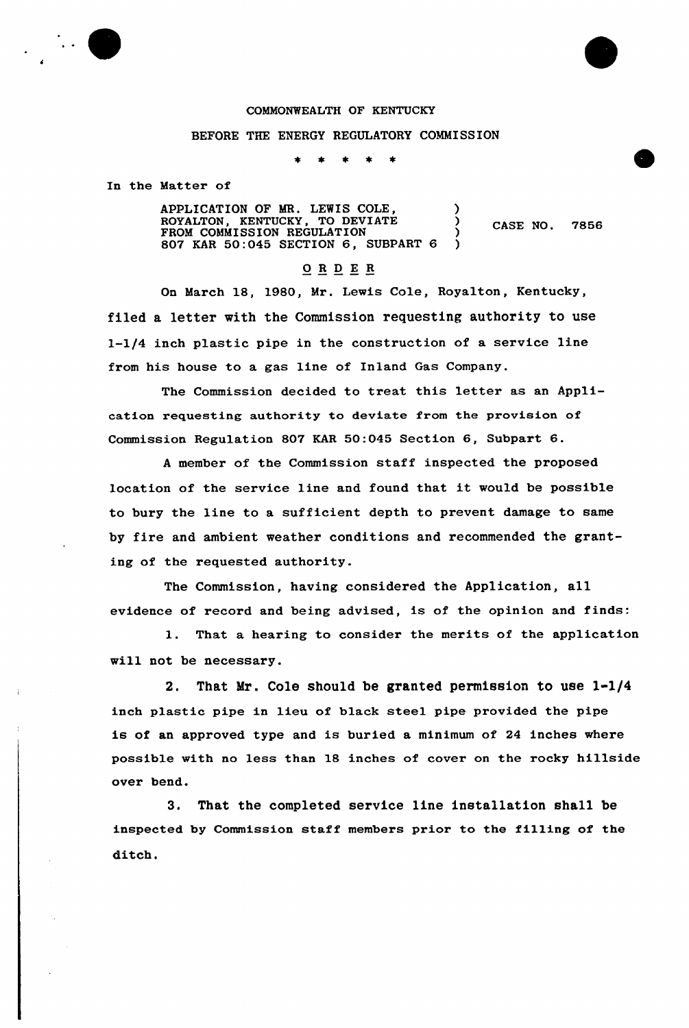## COMMONWEALTH OF KENTUCKY

## BEFORE THE ENERGY REGULATORY COMMISSION

 $\star$ 

In the Matter of

APPLICATION OF MR. LEWIS COLE,  $\overrightarrow{R}$ ROYALTON, KENTUCKY, TO DEVIATE ) CASE NO. 7856<br>FROM COMMISSION REGULATION ) CASE NO. 7856 807 KAR 50:045 SECTION 6, SUBPART 6 )

## 0 <sup>R</sup> <sup>D</sup> E <sup>R</sup>

On March 18, 1980, Mr. Lewis Cole, Royalton, Kentucky, filed a letter with the Commission requesting authority to use l-l/4 inch plastic pipe in the construction of a service line from his house to a gas line of Inland Gas Company.

The Commission decided to treat this letter as an Application requesting authority to deviate from the provision of Commission Regulation 807 KAR 50:045 Section 6, Subpart  $6.$ 

<sup>A</sup> member of the Commission staff inspected the proposed location of the service line and found that it would be possible to bury the line to a sufficient depth to prevent damage to same by fire and ambient weather conditions and recommended the granting of the requested authority.

The Commission, having considered the Application, all evidence of record and being advised, is of the opinion and finds:

1. That a hearing to consider the merits of the application will not be necessary.

2. That Mr. Cole should be granted permission to use 1-1/4 inch plastic pipe in lieu of black steel pipe provided the pipe is of an approved type and is buried a minimum of 24 inches where possible with no less than 18 inches of cover on the rocky hillside over bend.

3. That the completed service line installation shall be inspected by Commission staff members prior to the fil1ing of the ditch.